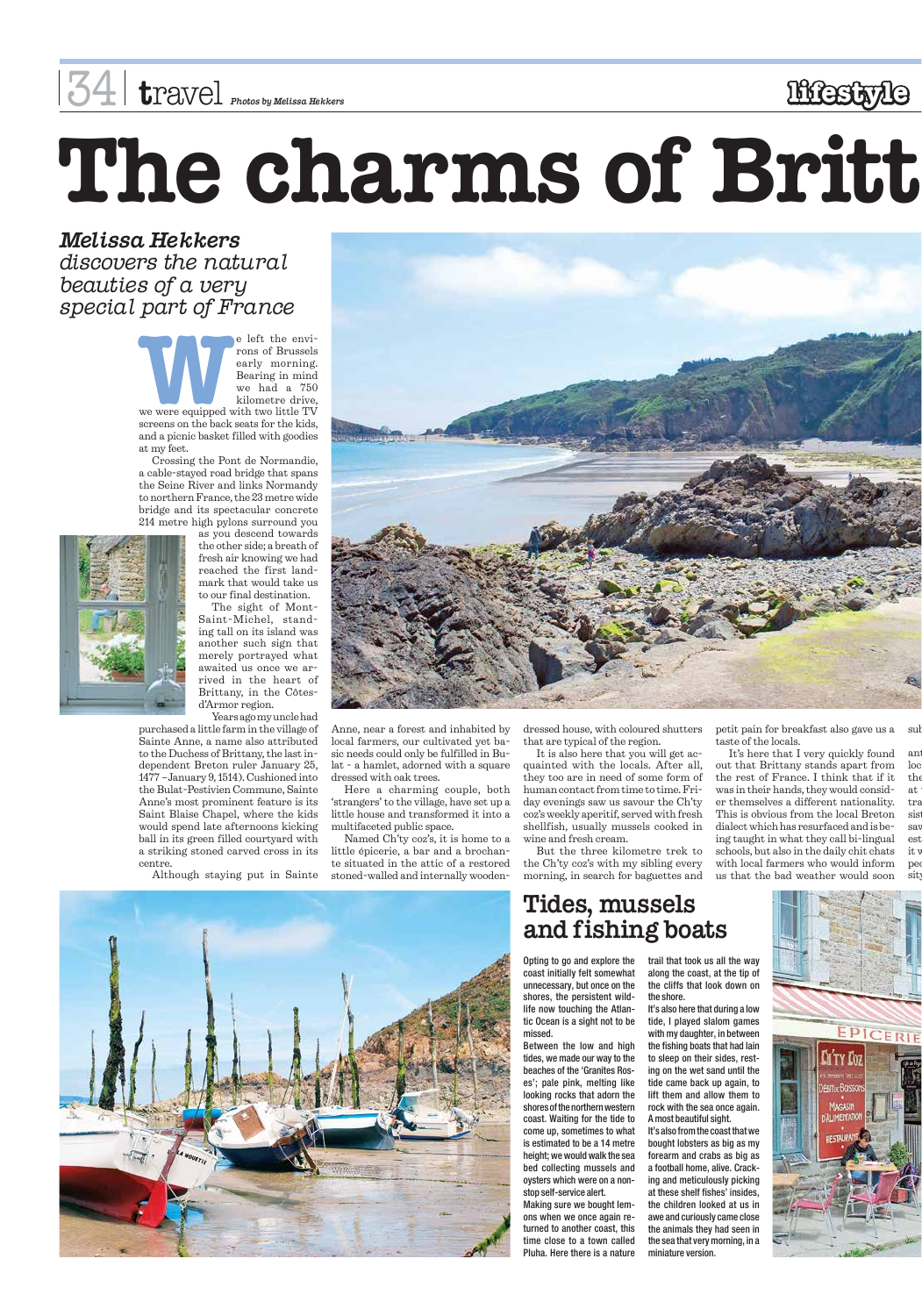rons of Brussels early morning. Bearing in mind we had a 750 kilometre drive,



screens on the back seats for the kids, and a picnic basket filled with goodies at my feet.

Crossing the Pont de Normandie, a cable-stayed road bridge that spans the Seine River and links Normandy to northern France, the 23 metre wide bridge and its spectacular concrete 214 metre high pylons surround you



as you descend towards the other side; a breath of fresh air knowing we had reached the first landmark that would take us to our final destination.

The sight of Mont-Saint-Michel, standing tall on its island was another such sign that merely portrayed what awaited us once we arrived in the heart of Brittany, in the Côtesd'Armor region.

Years ago my uncle had

purchased a little farm in the village of Sainte Anne, a name also attributed to the Duchess of Brittany, the last independent Breton ruler January 25, 1477 –January 9, 1514). Cushioned into the Bulat-Pestivien Commune, Sainte Anne's most prominent feature is its Saint Blaise Chapel, where the kids would spend late afternoons kicking ball in its green filled courtyard with a striking stoned carved cross in its centre.

petit pain for breakfast also gave us a taste of the locals. suk

Although staying put in Sainte



the at tra sist say est it y peo sit

Anne, near a forest and inhabited by local farmers, our cultivated yet basic needs could only be fulfilled in Bulat - a hamlet, adorned with a square dressed with oak trees.

Here a charming couple, both 'strangers' to the village, have set up a little house and transformed it into a multifaceted public space.

Named Ch'ty coz's, it is home to a little épicerie, a bar and a brochante situated in the attic of a restored stoned-walled and internally woodendressed house, with coloured shutters that are typical of the region.

It is also here that you will get acquainted with the locals. After all, they too are in need of some form of human contact from time to time. Friday evenings saw us savour the Ch'ty coz's weekly aperitif, served with fresh shellfish, usually mussels cooked in wine and fresh cream.

But the three kilometre trek to the Ch'ty coz's with my sibling every morning, in search for baguettes and

It's here that I very quickly found out that Brittany stands apart from the rest of France. I think that if it was in their hands, they would consider themselves a different nationality. This is obvious from the local Breton dialect which has resurfaced and is being taught in what they call bi-lingual schools, but also in the daily chit chats with local farmers who would inform us that the bad weather would soon

ant loc





### 34 **t**ravel *Photos by Melissa Hekkers* **lifestyle**

*Melissa Hekkers discovers the natural beauties of a very special part of France*

> Opting to go and explore the coast initially felt somewhat unnecessary, but once on the shores, the persistent wildlife now touching the Atlantic Ocean is a sight not to be missed.

Between the low and high tides, we made our way to the beaches of the 'Granites Roses'; pale pink, melting like looking rocks that adorn the shores of the northern western coast. Waiting for the tide to come up, sometimes to what is estimated to be a 14 metre height; we would walk the sea bed collecting mussels and oysters which were on a nonstop self-service alert. Making sure we bought lemons when we once again returned to another coast, this time close to a town called Pluha. Here there is a nature

trail that took us all the way along the coast, at the tip of the cliffs that look down on

the shore.

It's also here that during a low tide, I played slalom games with my daughter, in between

the fishing boats that had lain to sleep on their sides, resting on the wet sand until the tide came back up again, to lift them and allow them to rock with the sea once again. A most beautiful sight. It's also from the coast that we bought lobsters as big as my forearm and crabs as big as a football home, alive. Cracking and meticulously picking at these shelf fishes' insides, the children looked at us in awe and curiously came close the animals they had seen in the sea that very morning, in a miniature version.

#### **Tides, mussels and fishing boats**

# **The charms of Britt**